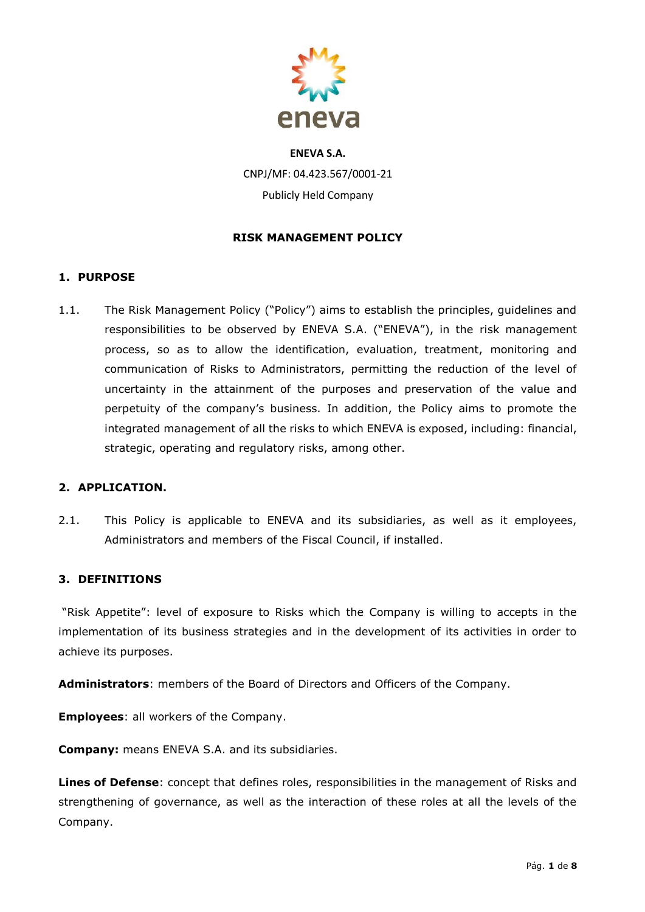

## **RISK MANAGEMENT POLICY**

## **1. PURPOSE**

1.1. The Risk Management Policy ("Policy") aims to establish the principles, guidelines and responsibilities to be observed by ENEVA S.A. ("ENEVA"), in the risk management process, so as to allow the identification, evaluation, treatment, monitoring and communication of Risks to Administrators, permitting the reduction of the level of uncertainty in the attainment of the purposes and preservation of the value and perpetuity of the company's business. In addition, the Policy aims to promote the integrated management of all the risks to which ENEVA is exposed, including: financial, strategic, operating and regulatory risks, among other.

## **2. APPLICATION.**

2.1. This Policy is applicable to ENEVA and its subsidiaries, as well as it employees, Administrators and members of the Fiscal Council, if installed.

## **3. DEFINITIONS**

"Risk Appetite": level of exposure to Risks which the Company is willing to accepts in the implementation of its business strategies and in the development of its activities in order to achieve its purposes.

**Administrators**: members of the Board of Directors and Officers of the Company.

**Employees**: all workers of the Company.

**Company:** means ENEVA S.A. and its subsidiaries.

**Lines of Defense**: concept that defines roles, responsibilities in the management of Risks and strengthening of governance, as well as the interaction of these roles at all the levels of the Company.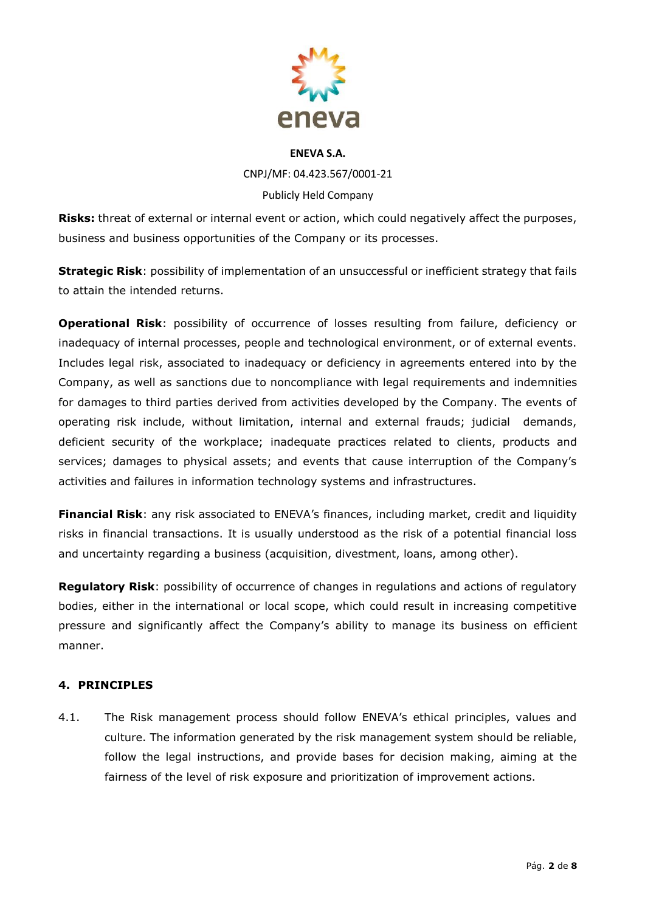

**Risks:** threat of external or internal event or action, which could negatively affect the purposes, business and business opportunities of the Company or its processes.

**Strategic Risk**: possibility of implementation of an unsuccessful or inefficient strategy that fails to attain the intended returns.

**Operational Risk**: possibility of occurrence of losses resulting from failure, deficiency or inadequacy of internal processes, people and technological environment, or of external events. Includes legal risk, associated to inadequacy or deficiency in agreements entered into by the Company, as well as sanctions due to noncompliance with legal requirements and indemnities for damages to third parties derived from activities developed by the Company. The events of operating risk include, without limitation, internal and external frauds; judicial demands, deficient security of the workplace; inadequate practices related to clients, products and services; damages to physical assets; and events that cause interruption of the Company's activities and failures in information technology systems and infrastructures.

**Financial Risk**: any risk associated to ENEVA's finances, including market, credit and liquidity risks in financial transactions. It is usually understood as the risk of a potential financial loss and uncertainty regarding a business (acquisition, divestment, loans, among other).

**Regulatory Risk**: possibility of occurrence of changes in regulations and actions of regulatory bodies, either in the international or local scope, which could result in increasing competitive pressure and significantly affect the Company's ability to manage its business on efficient manner.

## **4. PRINCIPLES**

4.1. The Risk management process should follow ENEVA's ethical principles, values and culture. The information generated by the risk management system should be reliable, follow the legal instructions, and provide bases for decision making, aiming at the fairness of the level of risk exposure and prioritization of improvement actions.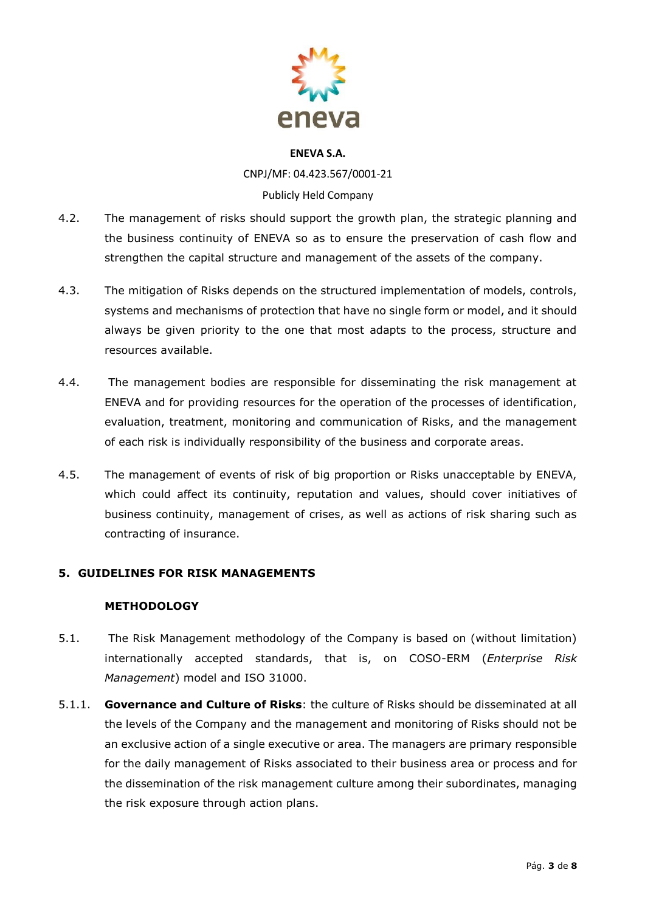

CNPJ/MF: 04.423.567/0001-21 Publicly Held Company

- 4.2. The management of risks should support the growth plan, the strategic planning and the business continuity of ENEVA so as to ensure the preservation of cash flow and strengthen the capital structure and management of the assets of the company.
- 4.3. The mitigation of Risks depends on the structured implementation of models, controls, systems and mechanisms of protection that have no single form or model, and it should always be given priority to the one that most adapts to the process, structure and resources available.
- 4.4. The management bodies are responsible for disseminating the risk management at ENEVA and for providing resources for the operation of the processes of identification, evaluation, treatment, monitoring and communication of Risks, and the management of each risk is individually responsibility of the business and corporate areas.
- 4.5. The management of events of risk of big proportion or Risks unacceptable by ENEVA, which could affect its continuity, reputation and values, should cover initiatives of business continuity, management of crises, as well as actions of risk sharing such as contracting of insurance.

## **5. GUIDELINES FOR RISK MANAGEMENTS**

## **METHODOLOGY**

- 5.1. The Risk Management methodology of the Company is based on (without limitation) internationally accepted standards, that is, on COSO-ERM (*Enterprise Risk Management*) model and ISO 31000.
- 5.1.1. **Governance and Culture of Risks**: the culture of Risks should be disseminated at all the levels of the Company and the management and monitoring of Risks should not be an exclusive action of a single executive or area. The managers are primary responsible for the daily management of Risks associated to their business area or process and for the dissemination of the risk management culture among their subordinates, managing the risk exposure through action plans.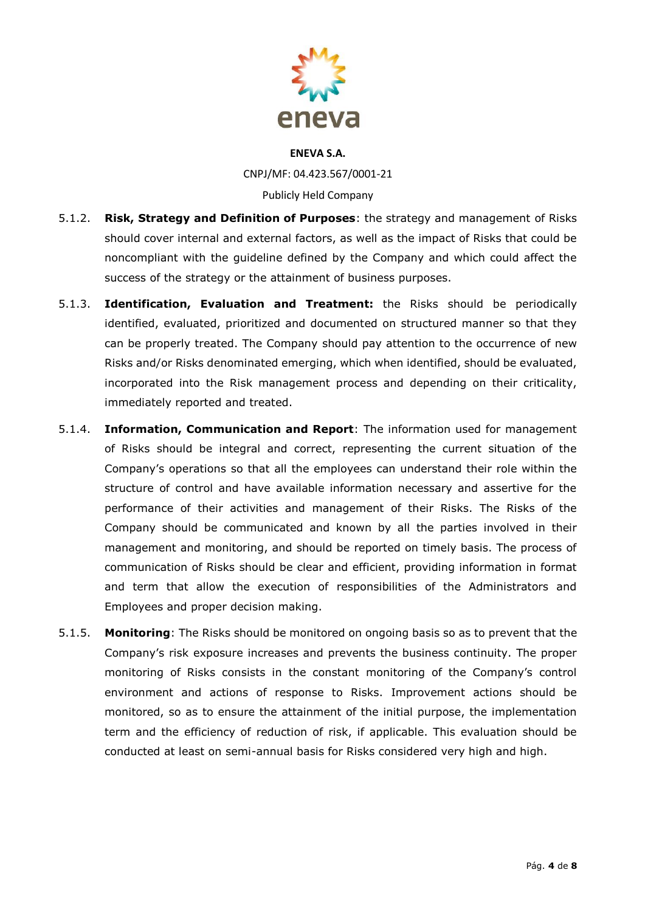

- 5.1.2. **Risk, Strategy and Definition of Purposes**: the strategy and management of Risks should cover internal and external factors, as well as the impact of Risks that could be noncompliant with the guideline defined by the Company and which could affect the success of the strategy or the attainment of business purposes.
- 5.1.3. **Identification, Evaluation and Treatment:** the Risks should be periodically identified, evaluated, prioritized and documented on structured manner so that they can be properly treated. The Company should pay attention to the occurrence of new Risks and/or Risks denominated emerging, which when identified, should be evaluated, incorporated into the Risk management process and depending on their criticality, immediately reported and treated.
- 5.1.4. **Information, Communication and Report**: The information used for management of Risks should be integral and correct, representing the current situation of the Company's operations so that all the employees can understand their role within the structure of control and have available information necessary and assertive for the performance of their activities and management of their Risks. The Risks of the Company should be communicated and known by all the parties involved in their management and monitoring, and should be reported on timely basis. The process of communication of Risks should be clear and efficient, providing information in format and term that allow the execution of responsibilities of the Administrators and Employees and proper decision making.
- 5.1.5. **Monitoring**: The Risks should be monitored on ongoing basis so as to prevent that the Company's risk exposure increases and prevents the business continuity. The proper monitoring of Risks consists in the constant monitoring of the Company's control environment and actions of response to Risks. Improvement actions should be monitored, so as to ensure the attainment of the initial purpose, the implementation term and the efficiency of reduction of risk, if applicable. This evaluation should be conducted at least on semi-annual basis for Risks considered very high and high.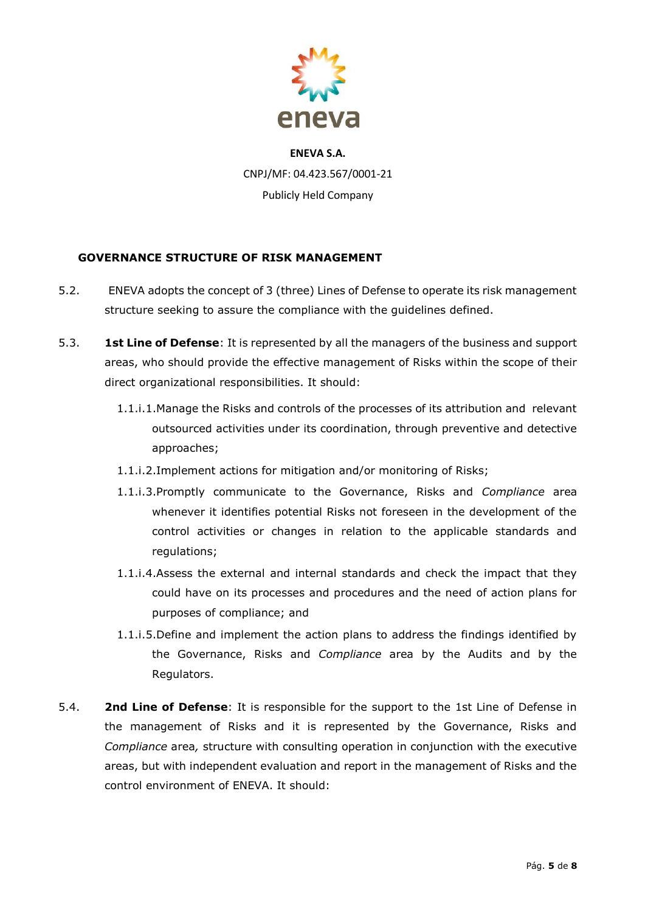

## **GOVERNANCE STRUCTURE OF RISK MANAGEMENT**

- 5.2. ENEVA adopts the concept of 3 (three) Lines of Defense to operate its risk management structure seeking to assure the compliance with the guidelines defined.
- 5.3. **1st Line of Defense**: It is represented by all the managers of the business and support areas, who should provide the effective management of Risks within the scope of their direct organizational responsibilities. It should:
	- 1.1.i.1.Manage the Risks and controls of the processes of its attribution and relevant outsourced activities under its coordination, through preventive and detective approaches;
	- 1.1.i.2.Implement actions for mitigation and/or monitoring of Risks;
	- 1.1.i.3.Promptly communicate to the Governance, Risks and *Compliance* area whenever it identifies potential Risks not foreseen in the development of the control activities or changes in relation to the applicable standards and regulations;
	- 1.1.i.4.Assess the external and internal standards and check the impact that they could have on its processes and procedures and the need of action plans for purposes of compliance; and
	- 1.1.i.5.Define and implement the action plans to address the findings identified by the Governance, Risks and *Compliance* area by the Audits and by the Regulators.
- 5.4. **2nd Line of Defense**: It is responsible for the support to the 1st Line of Defense in the management of Risks and it is represented by the Governance, Risks and *Compliance* area*,* structure with consulting operation in conjunction with the executive areas, but with independent evaluation and report in the management of Risks and the control environment of ENEVA. It should: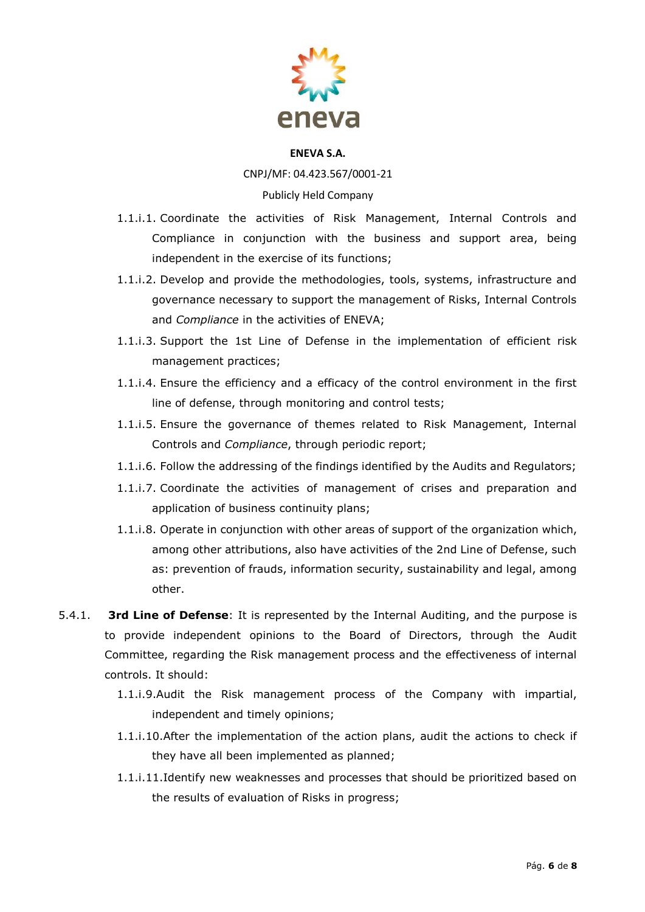

CNPJ/MF: 04.423.567/0001-21

## Publicly Held Company

- 1.1.i.1. Coordinate the activities of Risk Management, Internal Controls and Compliance in conjunction with the business and support area, being independent in the exercise of its functions;
- 1.1.i.2. Develop and provide the methodologies, tools, systems, infrastructure and governance necessary to support the management of Risks, Internal Controls and *Compliance* in the activities of ENEVA;
- 1.1.i.3. Support the 1st Line of Defense in the implementation of efficient risk management practices;
- 1.1.i.4. Ensure the efficiency and a efficacy of the control environment in the first line of defense, through monitoring and control tests;
- 1.1.i.5. Ensure the governance of themes related to Risk Management, Internal Controls and *Compliance*, through periodic report;
- 1.1.i.6. Follow the addressing of the findings identified by the Audits and Regulators;
- 1.1.i.7. Coordinate the activities of management of crises and preparation and application of business continuity plans;
- 1.1.i.8. Operate in conjunction with other areas of support of the organization which, among other attributions, also have activities of the 2nd Line of Defense, such as: prevention of frauds, information security, sustainability and legal, among other.
- 5.4.1. **3rd Line of Defense**: It is represented by the Internal Auditing, and the purpose is to provide independent opinions to the Board of Directors, through the Audit Committee, regarding the Risk management process and the effectiveness of internal controls. It should:
	- 1.1.i.9.Audit the Risk management process of the Company with impartial, independent and timely opinions;
	- 1.1.i.10.After the implementation of the action plans, audit the actions to check if they have all been implemented as planned;
	- 1.1.i.11.Identify new weaknesses and processes that should be prioritized based on the results of evaluation of Risks in progress;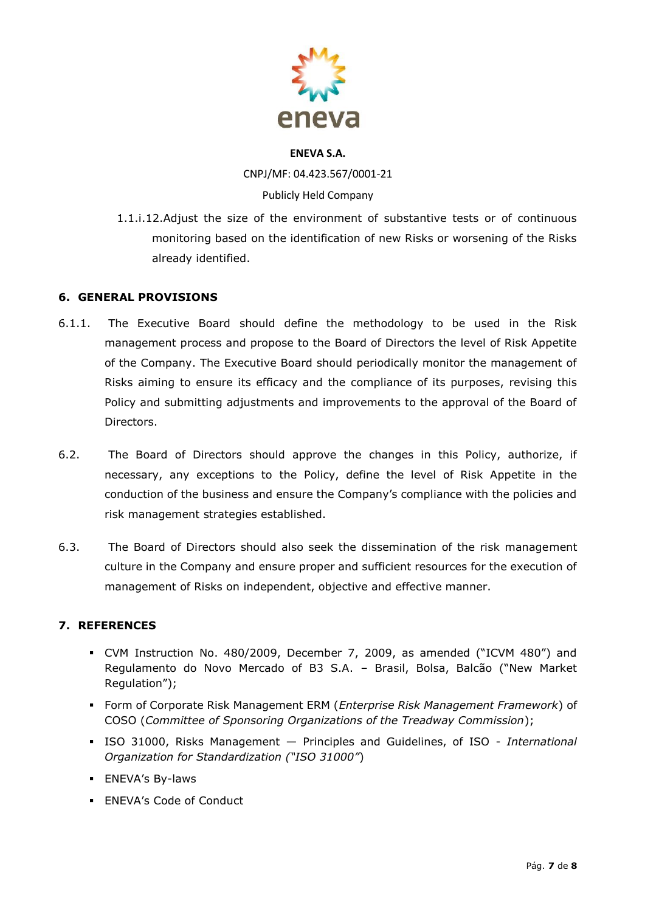

CNPJ/MF: 04.423.567/0001-21 Publicly Held Company

1.1.i.12.Adjust the size of the environment of substantive tests or of continuous monitoring based on the identification of new Risks or worsening of the Risks already identified.

## **6. GENERAL PROVISIONS**

- 6.1.1. The Executive Board should define the methodology to be used in the Risk management process and propose to the Board of Directors the level of Risk Appetite of the Company. The Executive Board should periodically monitor the management of Risks aiming to ensure its efficacy and the compliance of its purposes, revising this Policy and submitting adjustments and improvements to the approval of the Board of Directors.
- 6.2. The Board of Directors should approve the changes in this Policy, authorize, if necessary, any exceptions to the Policy, define the level of Risk Appetite in the conduction of the business and ensure the Company's compliance with the policies and risk management strategies established.
- 6.3. The Board of Directors should also seek the dissemination of the risk management culture in the Company and ensure proper and sufficient resources for the execution of management of Risks on independent, objective and effective manner.

## **7. REFERENCES**

- CVM Instruction No. 480/2009, December 7, 2009, as amended ("ICVM 480") and Regulamento do Novo Mercado of B3 S.A. – Brasil, Bolsa, Balcão ("New Market Regulation");
- Form of Corporate Risk Management ERM (*Enterprise Risk Management Framework*) of COSO (*Committee of Sponsoring Organizations of the Treadway Commission*);
- ISO 31000, Risks Management Principles and Guidelines, of ISO *International Organization for Standardization ("ISO 31000"*)
- **ENEVA's By-laws**
- **ENEVA's Code of Conduct**